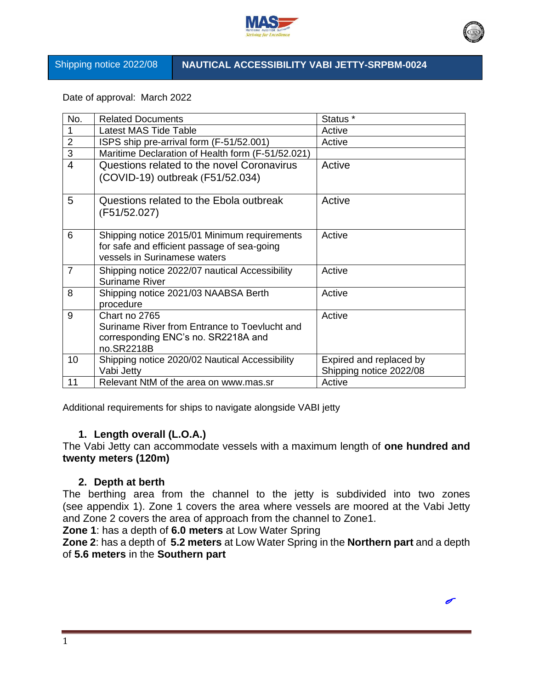

### Shipping notice 2022/08 **NAUTICAL ACCESSIBILITY VABI JETTY-SRPBM-0024**

Date of approval: March 2022

| No.            | <b>Related Documents</b>                                                                                                    | Status <sup>*</sup>     |
|----------------|-----------------------------------------------------------------------------------------------------------------------------|-------------------------|
| 1              | Latest MAS Tide Table                                                                                                       | Active                  |
| $\overline{2}$ | ISPS ship pre-arrival form (F-51/52.001)                                                                                    | Active                  |
| $\overline{3}$ | Maritime Declaration of Health form (F-51/52.021)                                                                           |                         |
| $\overline{4}$ | Questions related to the novel Coronavirus                                                                                  | Active                  |
|                | (COVID-19) outbreak (F51/52.034)                                                                                            |                         |
| 5              | Questions related to the Ebola outbreak<br>(F51/52.027)                                                                     | Active                  |
| 6              | Shipping notice 2015/01 Minimum requirements<br>for safe and efficient passage of sea-going<br>vessels in Surinamese waters | Active                  |
| $\overline{7}$ | Shipping notice 2022/07 nautical Accessibility<br>Suriname River                                                            | Active                  |
| 8              | Shipping notice 2021/03 NAABSA Berth<br>procedure                                                                           | Active                  |
| 9              | Chart no 2765                                                                                                               | Active                  |
|                | Suriname River from Entrance to Toevlucht and                                                                               |                         |
|                | corresponding ENC's no. SR2218A and                                                                                         |                         |
|                | no.SR2218B                                                                                                                  |                         |
| 10             | Shipping notice 2020/02 Nautical Accessibility                                                                              | Expired and replaced by |
|                | Vabi Jetty                                                                                                                  | Shipping notice 2022/08 |
| 11             | Relevant NtM of the area on www.mas.sr                                                                                      | Active                  |

Additional requirements for ships to navigate alongside VABI jetty

# **1. Length overall (L.O.A.)**

The Vabi Jetty can accommodate vessels with a maximum length of **one hundred and twenty meters (120m)**

## **2. Depth at berth**

The berthing area from the channel to the jetty is subdivided into two zones (see appendix 1). Zone 1 covers the area where vessels are moored at the Vabi Jetty and Zone 2 covers the area of approach from the channel to Zone1.

**Zone 1**: has a depth of **6.0 meters** at Low Water Spring

**Zone 2**: has a depth of **5.2 meters** at Low Water Spring in the **Northern part** and a depth of **5.6 meters** in the **Southern part**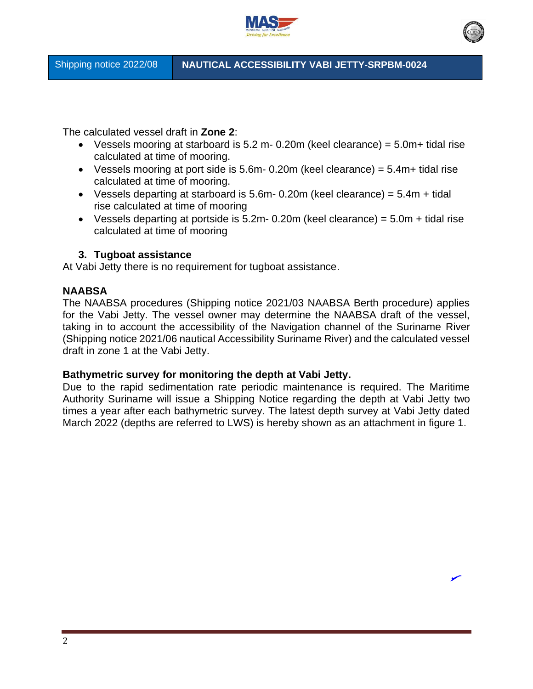

The calculated vessel draft in **Zone 2**:

- Vessels mooring at starboard is  $5.2$  m- 0.20m (keel clearance) =  $5.0$ m+ tidal rise calculated at time of mooring.
- Vessels mooring at port side is  $5.6m 0.20m$  (keel clearance) =  $5.4m +$  tidal rise calculated at time of mooring.
- Vessels departing at starboard is 5.6m 0.20m (keel clearance) =  $5.4m +$  tidal rise calculated at time of mooring
- Vessels departing at portside is  $5.2m$  0.20m (keel clearance) =  $5.0m$  + tidal rise calculated at time of mooring

## **3. Tugboat assistance**

At Vabi Jetty there is no requirement for tugboat assistance.

#### **NAABSA**

The NAABSA procedures (Shipping notice 2021/03 NAABSA Berth procedure) applies for the Vabi Jetty. The vessel owner may determine the NAABSA draft of the vessel, taking in to account the accessibility of the Navigation channel of the Suriname River (Shipping notice 2021/06 nautical Accessibility Suriname River) and the calculated vessel draft in zone 1 at the Vabi Jetty.

#### **Bathymetric survey for monitoring the depth at Vabi Jetty.**

Due to the rapid sedimentation rate periodic maintenance is required. The Maritime Authority Suriname will issue a Shipping Notice regarding the depth at Vabi Jetty two times a year after each bathymetric survey. The latest depth survey at Vabi Jetty dated March 2022 (depths are referred to LWS) is hereby shown as an attachment in figure 1.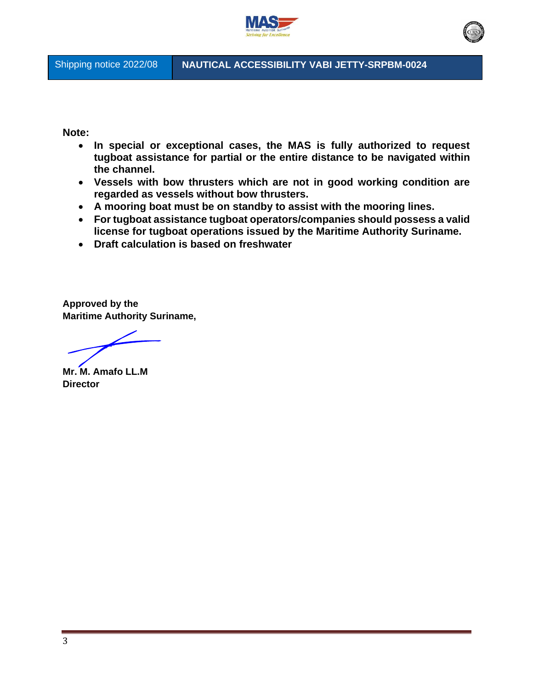

Shipping notice 2022/08 **NAUTICAL ACCESSIBILITY VABI JETTY-SRPBM-0024**

**Note:** 

- **In special or exceptional cases, the MAS is fully authorized to request tugboat assistance for partial or the entire distance to be navigated within the channel.**
- **Vessels with bow thrusters which are not in good working condition are regarded as vessels without bow thrusters.**
- **A mooring boat must be on standby to assist with the mooring lines.**
- **For tugboat assistance tugboat operators/companies should possess a valid license for tugboat operations issued by the Maritime Authority Suriname.**
- **Draft calculation is based on freshwater**

**Approved by the Maritime Authority Suriname,**

**Mr. M. Amafo LL.M Director**